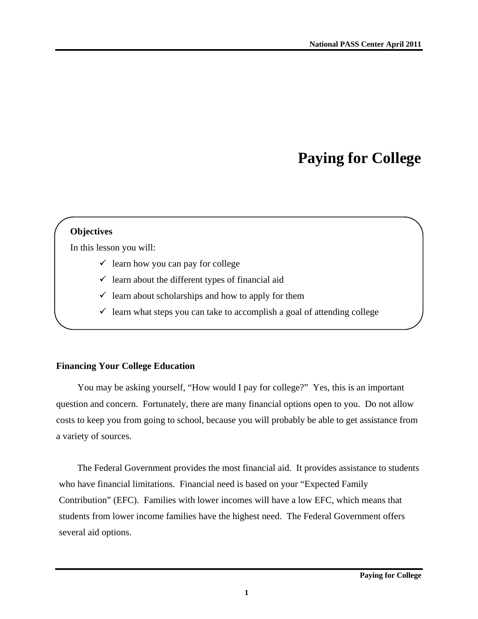# **Paying for College**

#### **Objectives**

In this lesson you will:

- $\checkmark$  learn how you can pay for college
- $\checkmark$  learn about the different types of financial aid
- $\checkmark$  learn about scholarships and how to apply for them
- $\checkmark$  learn what steps you can take to accomplish a goal of attending college

#### **Financing Your College Education**

You may be asking yourself, "How would I pay for college?" Yes, this is an important question and concern. Fortunately, there are many financial options open to you. Do not allow costs to keep you from going to school, because you will probably be able to get assistance from a variety of sources.

The Federal Government provides the most financial aid. It provides assistance to students who have financial limitations. Financial need is based on your "Expected Family Contribution" (EFC). Families with lower incomes will have a low EFC, which means that students from lower income families have the highest need. The Federal Government offers several aid options.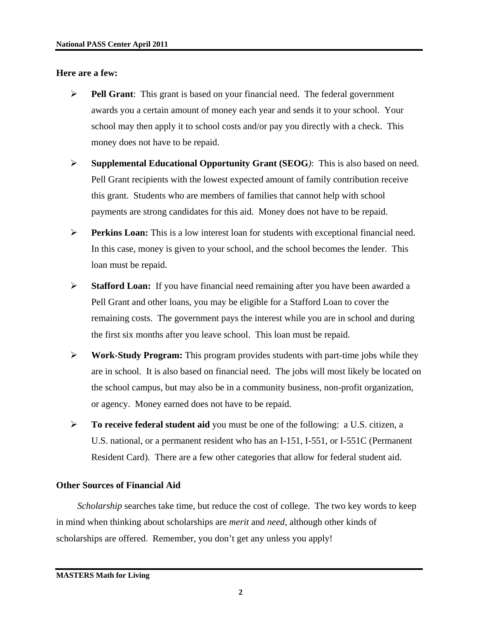#### **Here are a few:**

- ¾ **Pell Grant**: This grant is based on your financial need. The federal government awards you a certain amount of money each year and sends it to your school. Your school may then apply it to school costs and/or pay you directly with a check. This money does not have to be repaid.
- ¾ **Supplemental Educational Opportunity Grant (SEOG***)*: This is also based on need. Pell Grant recipients with the lowest expected amount of family contribution receive this grant. Students who are members of families that cannot help with school payments are strong candidates for this aid. Money does not have to be repaid.
- ¾ **Perkins Loan:** This is a low interest loan for students with exceptional financial need. In this case, money is given to your school, and the school becomes the lender. This loan must be repaid.
- ¾ **Stafford Loan:** If you have financial need remaining after you have been awarded a Pell Grant and other loans, you may be eligible for a Stafford Loan to cover the remaining costs. The government pays the interest while you are in school and during the first six months after you leave school. This loan must be repaid.
- ¾ **Work-Study Program:** This program provides students with part-time jobs while they are in school. It is also based on financial need. The jobs will most likely be located on the school campus, but may also be in a community business, non-profit organization, or agency. Money earned does not have to be repaid.
- ¾ **To receive federal student aid** you must be one of the following: a U.S. citizen, a U.S. national, or a permanent resident who has an I-151, I-551, or I-551C (Permanent Resident Card). There are a few other categories that allow for federal student aid.

# **Other Sources of Financial Aid**

*Scholarship* searches take time, but reduce the cost of college. The two key words to keep in mind when thinking about scholarships are *merit* and *need,* although other kinds of scholarships are offered. Remember, you don't get any unless you apply!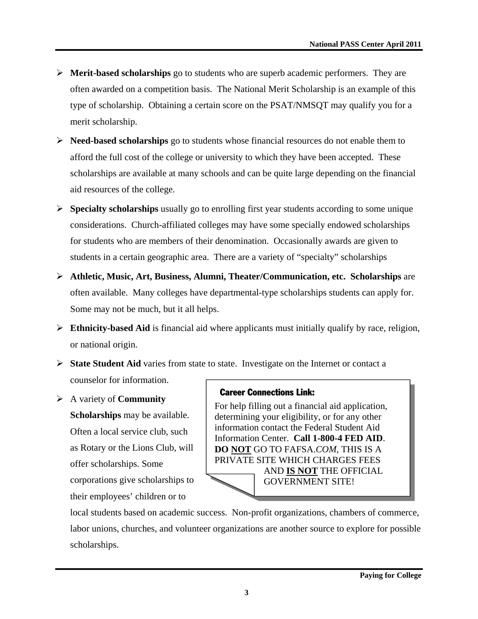- ¾ **Merit-based scholarships** go to students who are superb academic performers. They are often awarded on a competition basis. The National Merit Scholarship is an example of this type of scholarship. Obtaining a certain score on the PSAT/NMSQT may qualify you for a merit scholarship.
- ¾ **Need-based scholarships** go to students whose financial resources do not enable them to afford the full cost of the college or university to which they have been accepted. These scholarships are available at many schools and can be quite large depending on the financial aid resources of the college.
- ¾ **Specialty scholarships** usually go to enrolling first year students according to some unique considerations. Church-affiliated colleges may have some specially endowed scholarships for students who are members of their denomination. Occasionally awards are given to students in a certain geographic area. There are a variety of "specialty" scholarships
- ¾ **Athletic, Music, Art, Business, Alumni, Theater/Communication, etc. Scholarships** are often available. Many colleges have departmental-type scholarships students can apply for. Some may not be much, but it all helps.
- ¾ **Ethnicity-based Aid** is financial aid where applicants must initially qualify by race, religion, or national origin.
- ¾ **State Student Aid** varies from state to state. Investigate on the Internet or contact a counselor for information.
- ¾ A variety of **Community Scholarships** may be available. Often a local service club, such as Rotary or the Lions Club, will offer scholarships. Some corporations give scholarships to their employees' children or to

#### Career Connections Link:

For help filling out a financial aid application, determining your eligibility, or for any other information contact the Federal Student Aid Information Center. **Call 1-800-4 FED AID**. **DO NOT** GO TO FAFSA.*COM*, THIS IS A PRIVATE SITE WHICH CHARGES FEES AND **IS NOT** THE OFFICIAL GOVERNMENT SITE!

local students based on academic success. Non-profit organizations, chambers of commerce, labor unions, churches, and volunteer organizations are another source to explore for possible scholarships.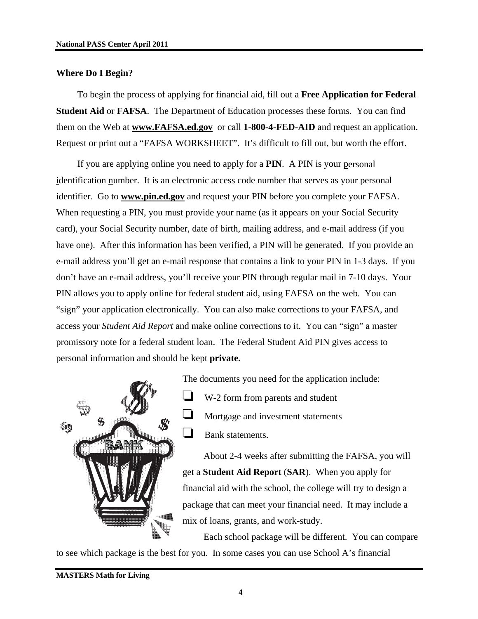#### **Where Do I Begin?**

To begin the process of applying for financial aid, fill out a **Free Application for Federal Student Aid** or **FAFSA**. The Department of Education processes these forms. You can find them on the Web at **www.FAFSA.ed.gov** or call **1-800-4-FED-AID** and request an application. Request or print out a "FAFSA WORKSHEET". It's difficult to fill out, but worth the effort.

If you are applying online you need to apply for a **PIN**.A PIN is your personal identification number. It is an electronic access code number that serves as your personal identifier. Go to **www.pin.ed.gov** and request your PIN before you complete your FAFSA. When requesting a PIN, you must provide your name (as it appears on your Social Security card), your Social Security number, date of birth, mailing address, and e-mail address (if you have one). After this information has been verified, a PIN will be generated. If you provide an e-mail address you'll get an e-mail response that contains a link to your PIN in 1-3 days. If you don't have an e-mail address, you'll receive your PIN through regular mail in 7-10 days. Your PIN allows you to apply online for federal student aid, using FAFSA on the web. You can "sign" your application electronically. You can also make corrections to your FAFSA, and access your *Student Aid Report* and make online corrections to it. You can "sign" a master promissory note for a federal student loan. The Federal Student Aid PIN gives access to personal information and should be kept **private.**



The documents you need for the application include: W-2 form from parents and student Mortgage and investment statements  $\Box$  Bank statements.

About 2-4 weeks after submitting the FAFSA, you will get a **Student Aid Report** (**SAR**). When you apply for financial aid with the school, the college will try to design a package that can meet your financial need. It may include a mix of loans, grants, and work-study.

Each school package will be different. You can compare to see which package is the best for you. In some cases you can use School A's financial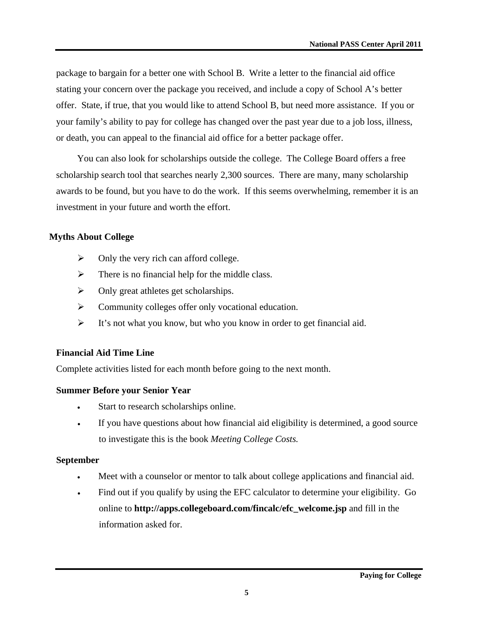package to bargain for a better one with School B. Write a letter to the financial aid office stating your concern over the package you received, and include a copy of School A's better offer. State, if true, that you would like to attend School B, but need more assistance. If you or your family's ability to pay for college has changed over the past year due to a job loss, illness, or death, you can appeal to the financial aid office for a better package offer.

You can also look for scholarships outside the college. The College Board offers a free scholarship search tool that searches nearly 2,300 sources. There are many, many scholarship awards to be found, but you have to do the work. If this seems overwhelming, remember it is an investment in your future and worth the effort.

#### **Myths About College**

- $\triangleright$  Only the very rich can afford college.
- $\triangleright$  There is no financial help for the middle class.
- $\triangleright$  Only great athletes get scholarships.
- $\triangleright$  Community colleges offer only vocational education.
- $\triangleright$  It's not what you know, but who you know in order to get financial aid.

# **Financial Aid Time Line**

Complete activities listed for each month before going to the next month.

# **Summer Before your Senior Year**

- Start to research scholarships online.
- If you have questions about how financial aid eligibility is determined, a good source to investigate this is the book *Meeting* C*ollege Costs.*

# **September**

- Meet with a counselor or mentor to talk about college applications and financial aid.
- Find out if you qualify by using the EFC calculator to determine your eligibility. Go online to **http://apps.collegeboard.com/fincalc/efc\_welcome.jsp** and fill in the information asked for.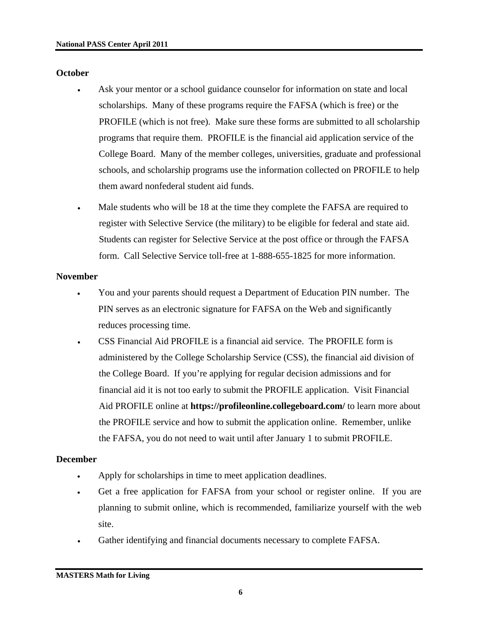#### **October**

- Ask your mentor or a school guidance counselor for information on state and local scholarships. Many of these programs require the FAFSA (which is free) or the PROFILE (which is not free). Make sure these forms are submitted to all scholarship programs that require them. PROFILE is the financial aid application service of the College Board. Many of the member colleges, universities, graduate and professional schools, and scholarship programs use the information collected on PROFILE to help them award nonfederal student aid funds.
- Male students who will be 18 at the time they complete the FAFSA are required to register with Selective Service (the military) to be eligible for federal and state aid. Students can register for Selective Service at the post office or through the FAFSA form. Call Selective Service toll-free at 1-888-655-1825 for more information.

# **November**

- You and your parents should request a Department of Education PIN number. The PIN serves as an electronic signature for FAFSA on the Web and significantly reduces processing time.
- CSS Financial Aid PROFILE is a financial aid service. The PROFILE form is administered by the College Scholarship Service (CSS), the financial aid division of the College Board. If you're applying for regular decision admissions and for financial aid it is not too early to submit the PROFILE application. Visit Financial Aid PROFILE online at **https://profileonline.collegeboard.com/** to learn more about the PROFILE service and how to submit the application online. Remember, unlike the FAFSA, you do not need to wait until after January 1 to submit PROFILE.

# **December**

- Apply for scholarships in time to meet application deadlines.
- Get a free application for FAFSA from your school or register online. If you are planning to submit online, which is recommended, familiarize yourself with the web site.
- Gather identifying and financial documents necessary to complete FAFSA.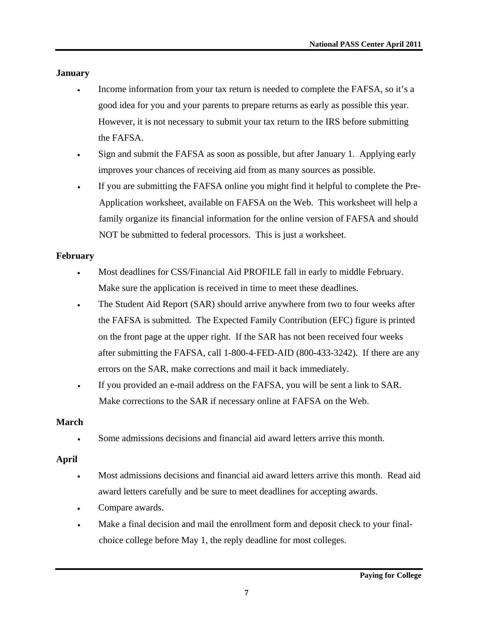# **January**

- Income information from your tax return is needed to complete the FAFSA, so it's a good idea for you and your parents to prepare returns as early as possible this year. However, it is not necessary to submit your tax return to the IRS before submitting the FAFSA.
- Sign and submit the FAFSA as soon as possible, but after January 1. Applying early improves your chances of receiving aid from as many sources as possible.
- If you are submitting the FAFSA online you might find it helpful to complete the Pre-Application worksheet, available on FAFSA on the Web. This worksheet will help a family organize its financial information for the online version of FAFSA and should NOT be submitted to federal processors. This is just a worksheet.

# **February**

- Most deadlines for CSS/Financial Aid PROFILE fall in early to middle February. Make sure the application is received in time to meet these deadlines.
- The Student Aid Report (SAR) should arrive anywhere from two to four weeks after the FAFSA is submitted. The Expected Family Contribution (EFC) figure is printed on the front page at the upper right. If the SAR has not been received four weeks after submitting the FAFSA, call 1-800-4-FED-AID (800-433-3242). If there are any errors on the SAR, make corrections and mail it back immediately.
- If you provided an e-mail address on the FAFSA, you will be sent a link to SAR. Make corrections to the SAR if necessary online at FAFSA on the Web.

# **March**

• Some admissions decisions and financial aid award letters arrive this month.

# **April**

- Most admissions decisions and financial aid award letters arrive this month. Read aid award letters carefully and be sure to meet deadlines for accepting awards.
- Compare awards.
- Make a final decision and mail the enrollment form and deposit check to your finalchoice college before May 1, the reply deadline for most colleges.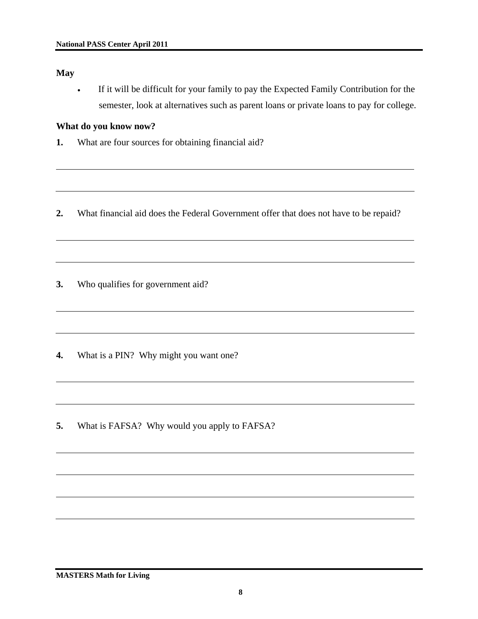**May** 

• If it will be difficult for your family to pay the Expected Family Contribution for the semester, look at alternatives such as parent loans or private loans to pay for college.

#### **What do you know now?**

- **1.** What are four sources for obtaining financial aid?
- **2.** What financial aid does the Federal Government offer that does not have to be repaid?

**3.** Who qualifies for government aid?

- **4.** What is a PIN? Why might you want one?
- **5.** What is FAFSA? Why would you apply to FAFSA?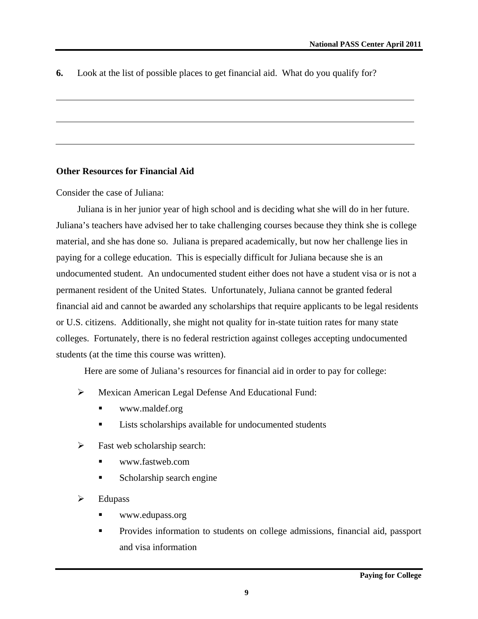**6.** Look at the list of possible places to get financial aid. What do you qualify for?

#### **Other Resources for Financial Aid**

Consider the case of Juliana:

Juliana is in her junior year of high school and is deciding what she will do in her future. Juliana's teachers have advised her to take challenging courses because they think she is college material, and she has done so. Juliana is prepared academically, but now her challenge lies in paying for a college education. This is especially difficult for Juliana because she is an undocumented student. An undocumented student either does not have a student visa or is not a permanent resident of the United States. Unfortunately, Juliana cannot be granted federal financial aid and cannot be awarded any scholarships that require applicants to be legal residents or U.S. citizens. Additionally, she might not quality for in-state tuition rates for many state colleges. Fortunately, there is no federal restriction against colleges accepting undocumented students (at the time this course was written).

Here are some of Juliana's resources for financial aid in order to pay for college:

- ¾ Mexican American Legal Defense And Educational Fund:
	- www.maldef.org
	- **Lists scholarships available for undocumented students**
- $\triangleright$  Fast web scholarship search:
	- www.fastweb.com
	- **Scholarship search engine**
- $\triangleright$  Edupass
	- www.edupass.org
	- Provides information to students on college admissions, financial aid, passport and visa information